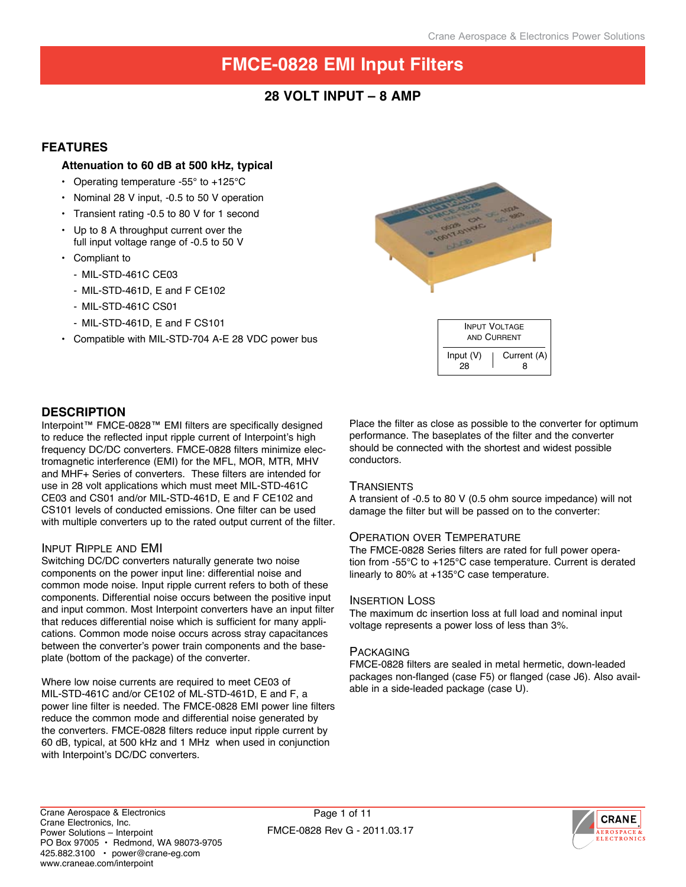# **28 Volt input – 8 Amp**

## **Features**

## **Attenuation to 60 dB at 500 kHz, typical**

- Operating temperature -55 $\degree$  to +125 $\degree$ C
- • Nominal 28 V input, -0.5 to 50 V operation
- • Transient rating -0.5 to 80 V for 1 second
- • Up to 8 A throughput current over the full input voltage range of -0.5 to 50 V
- • Compliant to
	- MIL-STD-461C CE03
	- MIL-STD-461D, E and F CE102
	- MIL-STD-461C CS01
	- MIL-STD-461D, E and F CS101
- • Compatible with MIL-STD-704 A-E 28 VDC power bus



## **Description**

Interpoint™ FMCE-0828™ EMI filters are specifically designed to reduce the reflected input ripple current of Interpoint's high frequency DC/DC converters. FMCE-0828 filters minimize electromagnetic interference (EMI) for the MFL, MOR, MTR, MHV and MHF+ Series of converters. These filters are intended for use in 28 volt applications which must meet MIL-STD-461C CE03 and CS01 and/or MIL-STD-461D, E and F CE102 and CS101 levels of conducted emissions. One filter can be used with multiple converters up to the rated output current of the filter.

## Input Ripple and EMI

Switching DC/DC converters naturally generate two noise components on the power input line: differential noise and common mode noise. Input ripple current refers to both of these components. Differential noise occurs between the positive input and input common. Most Interpoint converters have an input filter that reduces differential noise which is sufficient for many applications. Common mode noise occurs across stray capacitances between the converter's power train components and the baseplate (bottom of the package) of the converter.

Where low noise currents are required to meet CE03 of MIL-STD-461C and/or CE102 of ML-STD-461D, E and F, a power line filter is needed. The FMCE-0828 EMI power line filters reduce the common mode and differential noise generated by the converters. FMCE-0828 filters reduce input ripple current by 60 dB, typical, at 500 kHz and 1 MHz when used in conjunction with Interpoint's DC/DC converters.

Place the filter as close as possible to the converter for optimum performance. The baseplates of the filter and the converter should be connected with the shortest and widest possible conductors.

## **TRANSIENTS**

A transient of -0.5 to 80 V (0.5 ohm source impedance) will not damage the filter but will be passed on to the converter:

## Operation over Temperature

The FMCE-0828 Series filters are rated for full power operation from -55°C to +125°C case temperature. Current is derated linearly to 80% at +135°C case temperature.

## Insertion Loss

The maximum dc insertion loss at full load and nominal input voltage represents a power loss of less than 3%.

## **PACKAGING**

FMCE-0828 filters are sealed in metal hermetic, down-leaded packages non-flanged (case F5) or flanged (case J6). Also available in a side-leaded package (case U).

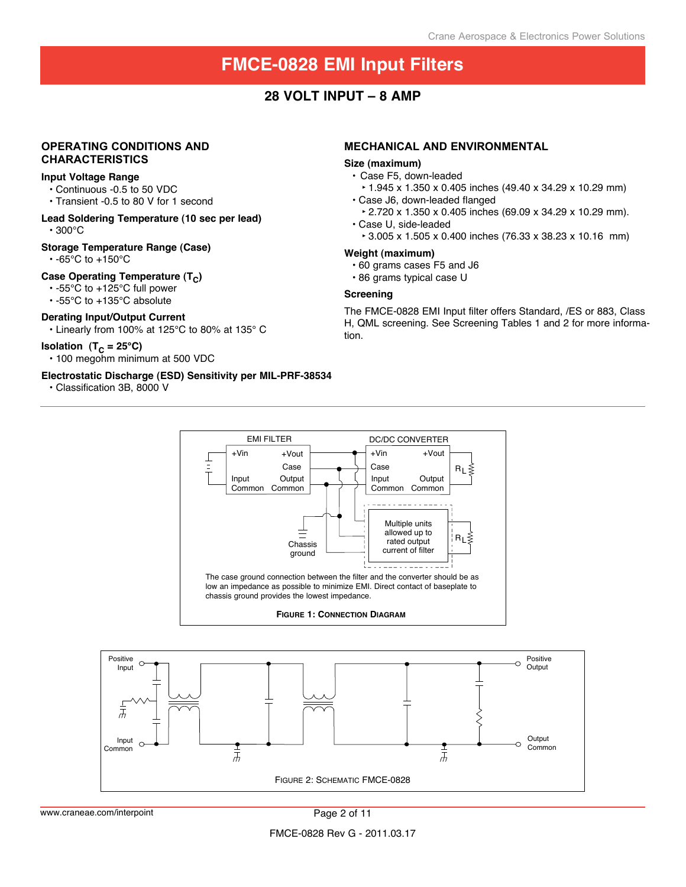## **28 Volt input – 8 Amp**

## **Operating Conditions and characteristics**

#### **Input Voltage Range**

- • Continuous -0.5 to 50 VDC
- • Transient -0.5 to 80 V for 1 second
- **Lead Soldering Temperature (10 sec per lead)**  • 300°C

## **Storage Temperature Range (Case)**

 $\cdot$  -65°C to +150°C

## **Case Operating Temperature (T<sub>C</sub>)**

- • -55°C to +125°C full power
- • -55°C to +135°C absolute

### **Derating Input/Output Current**

• Linearly from 100% at 125°C to 80% at 135° C

#### **Isolation**  $(T_C = 25^{\circ}C)$

• 100 megohm minimum at 500 VDC

#### **Electrostatic Discharge (ESD) Sensitivity per MIL-PRF-38534**

• Classification 3B, 8000 V

#### **mechanical and environmental**

#### **Size (maximum)**

- • Case F5, down-leaded
	- **‣**1.945 x 1.350 x 0.405 inches (49.40 x 34.29 x 10.29 mm)
- • Case J6, down-leaded flanged
- **‣**2.720 x 1.350 x 0.405 inches (69.09 x 34.29 x 10.29 mm). • Case U, side-leaded
- **‣**3.005 x 1.505 x 0.400 inches (76.33 x 38.23 x 10.16 mm)

#### **Weight (maximum)**

- • 60 grams cases F5 and J6
- • 86 grams typical case U

## **Screening**

The FMCE-0828 EMI Input filter offers Standard, /ES or 883, Class H, QML screening. See Screening Tables 1 and 2 for more information.





www.craneae.com/interpoint example 2 of 11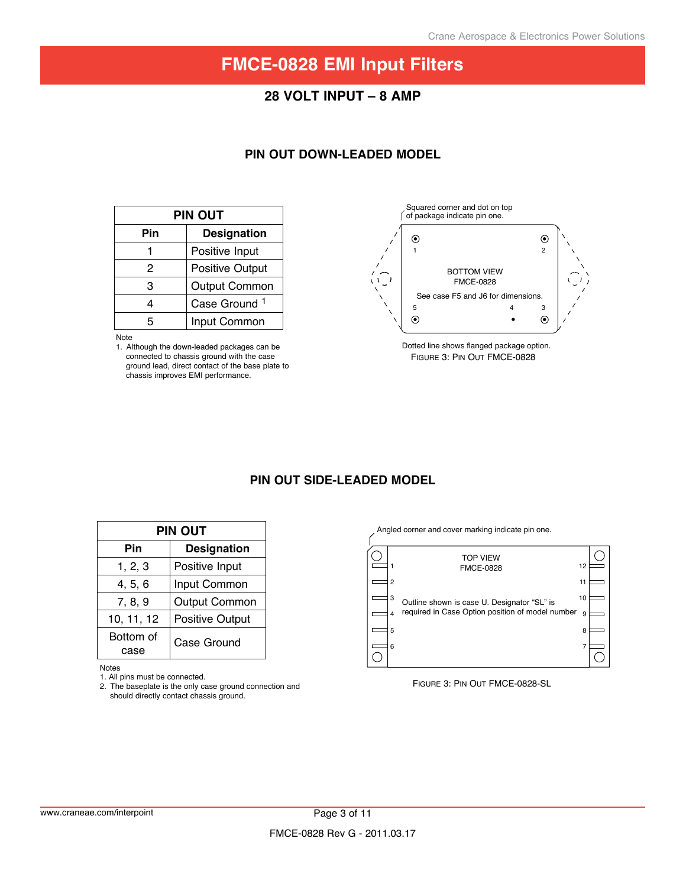## **28 Volt input – 8 Amp**

## **Pin Out down-Leaded Model**

| PIN OUT                  |  |  |  |
|--------------------------|--|--|--|
| <b>Designation</b>       |  |  |  |
| Positive Input           |  |  |  |
| <b>Positive Output</b>   |  |  |  |
| <b>Output Common</b>     |  |  |  |
| Case Ground <sup>1</sup> |  |  |  |
| Input Common             |  |  |  |
|                          |  |  |  |

Note



Figure 3: Pin Out FMCE-0828 Dotted line shows flanged package option.

## **Pin Out Side-Leaded model**

| PIN OUT           |                        |  |  |  |
|-------------------|------------------------|--|--|--|
| Pin               | <b>Designation</b>     |  |  |  |
| 1, 2, 3           | Positive Input         |  |  |  |
| 4, 5, 6           | Input Common           |  |  |  |
| 7, 8, 9           | <b>Output Common</b>   |  |  |  |
| 10, 11, 12        | <b>Positive Output</b> |  |  |  |
| Bottom of<br>case | Case Ground            |  |  |  |

Notes

1. All pins must be connected.

2. The baseplate is the only case ground connection and should directly contact chassis ground.

Angled corner and cover marking indicate pin one.



#### Figure 3: Pin Out FMCE-0828-SL

<sup>1.</sup> Although the down-leaded packages can be connected to chassis ground with the case ground lead, direct contact of the base plate to chassis improves EMI performance.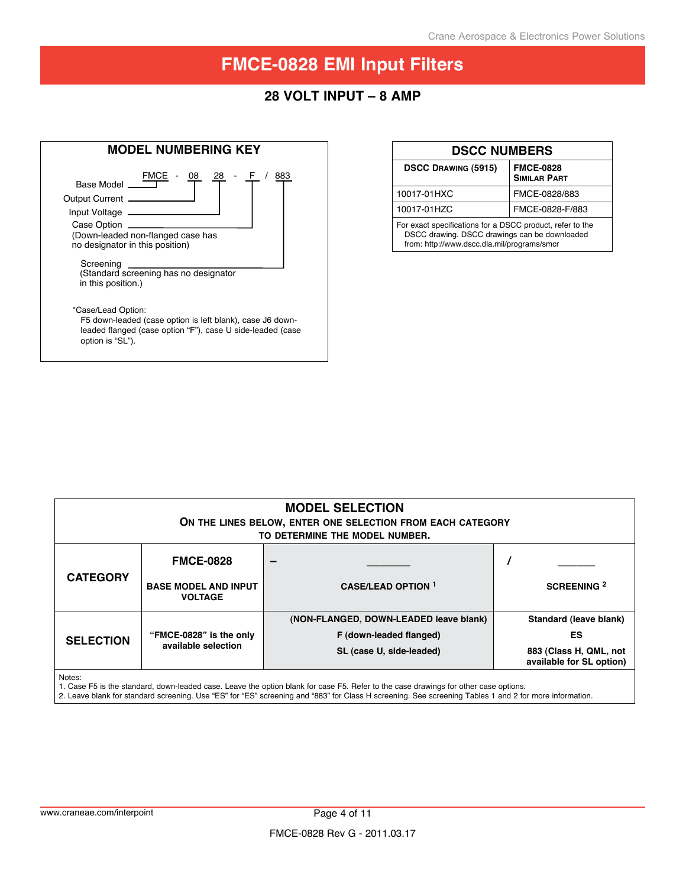# **28 Volt input – 8 Amp**

| <b>MODEL NUMBERING KEY</b>                                                                                                                                        |            |  |  |  |
|-------------------------------------------------------------------------------------------------------------------------------------------------------------------|------------|--|--|--|
| FMCE<br>08<br>28<br>Base Model<br>Output Current _<br>Input Voltage _____<br>Case Option<br>(Down-leaded non-flanged case has<br>no designator in this position)  | 883<br>- F |  |  |  |
| Screening<br>(Standard screening has no designator<br>in this position.)                                                                                          |            |  |  |  |
| *Case/Lead Option:<br>F5 down-leaded (case option is left blank), case J6 down-<br>leaded flanged (case option "F"), case U side-leaded (case<br>option is "SL"). |            |  |  |  |

| <b>DSCC NUMBERS</b>                                                                                                                                       |                                         |  |  |  |
|-----------------------------------------------------------------------------------------------------------------------------------------------------------|-----------------------------------------|--|--|--|
| <b>DSCC DRAWING (5915)</b>                                                                                                                                | <b>FMCE-0828</b><br><b>SIMILAR PART</b> |  |  |  |
| 10017-01HXC                                                                                                                                               | FMCE-0828/883                           |  |  |  |
| 10017-01HZC                                                                                                                                               | FMCE-0828-F/883                         |  |  |  |
| For exact specifications for a DSCC product, refer to the<br>DSCC drawing. DSCC drawings can be downloaded<br>from: http://www.dscc.dla.mil/programs/smcr |                                         |  |  |  |

| <b>MODEL SELECTION</b><br>ON THE LINES BELOW, ENTER ONE SELECTION FROM EACH CATEGORY<br>TO DETERMINE THE MODEL NUMBER. |                                                                   |                                                                                               |                                                                                    |  |
|------------------------------------------------------------------------------------------------------------------------|-------------------------------------------------------------------|-----------------------------------------------------------------------------------------------|------------------------------------------------------------------------------------|--|
| <b>CATEGORY</b>                                                                                                        | <b>FMCE-0828</b><br><b>BASE MODEL AND INPUT</b><br><b>VOLTAGE</b> | -<br><b>CASE/LEAD OPTION 1</b>                                                                | <b>SCREENING 2</b>                                                                 |  |
| <b>SELECTION</b>                                                                                                       | "FMCE-0828" is the only<br>available selection                    | (NON-FLANGED, DOWN-LEADED leave blank)<br>F (down-leaded flanged)<br>SL (case U, side-leaded) | Standard (leave blank)<br>ES<br>883 (Class H, QML, not<br>available for SL option) |  |
| Notes:                                                                                                                 |                                                                   |                                                                                               |                                                                                    |  |

Notes:

1. Case F5 is the standard, down-leaded case. Leave the option blank for case F5. Refer to the case drawings for other case options.

2. Leave blank for standard screening. Use "ES" for "ES" screening and "883" for Class H screening. See screening Tables 1 and 2 for more information.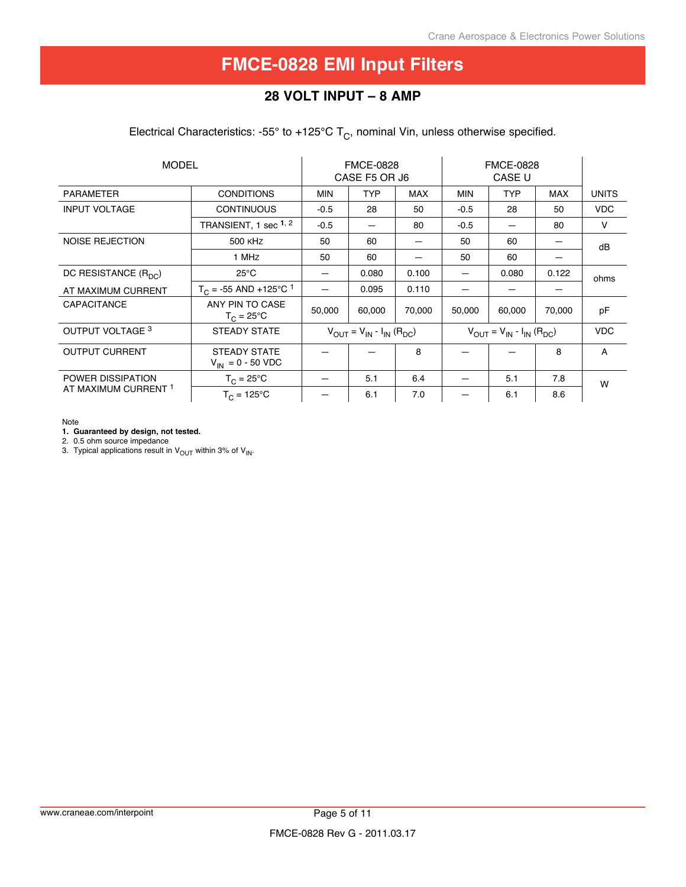# **28 Volt input – 8 Amp**

Electrical Characteristics: -55° to +125°C  $T_c$ , nominal Vin, unless otherwise specified.

| <b>MODEL</b>             |                                                                                                                                                             | <b>FMCE-0828</b><br>CASE F5 OR J6 |            | <b>FMCE-0828</b><br>CASE U |            |            |            |              |
|--------------------------|-------------------------------------------------------------------------------------------------------------------------------------------------------------|-----------------------------------|------------|----------------------------|------------|------------|------------|--------------|
| <b>PARAMETER</b>         | <b>CONDITIONS</b>                                                                                                                                           | <b>MIN</b>                        | <b>TYP</b> | <b>MAX</b>                 | <b>MIN</b> | <b>TYP</b> | <b>MAX</b> | <b>UNITS</b> |
| <b>INPUT VOLTAGE</b>     | <b>CONTINUOUS</b>                                                                                                                                           | $-0.5$                            | 28         | 50                         | $-0.5$     | 28         | 50         | <b>VDC</b>   |
|                          | TRANSIENT, 1 sec <sup>1, 2</sup>                                                                                                                            | $-0.5$                            |            | 80                         | $-0.5$     |            | 80         | $\vee$       |
| NOISE REJECTION          | 500 KHZ                                                                                                                                                     | 50                                | 60         |                            | 50         | 60         |            | dB           |
|                          | 1 MHz                                                                                                                                                       | 50                                | 60         |                            | 50         | 60         |            |              |
| DC RESISTANCE $(R_{DC})$ | $25^{\circ}$ C                                                                                                                                              |                                   | 0.080      | 0.100                      |            | 0.080      | 0.122      | ohms         |
| AT MAXIMUM CURRENT       | $T_C$ = -55 AND +125°C <sup>1</sup>                                                                                                                         |                                   | 0.095      | 0.110                      |            |            |            |              |
| CAPACITANCE              | ANY PIN TO CASE<br>$T_{\rm C}$ = 25°C                                                                                                                       | 50,000                            | 60,000     | 70,000                     | 50,000     | 60,000     | 70,000     | pF           |
| OUTPUT VOLTAGE 3         | <b>STEADY STATE</b><br>$V_{\text{OUT}} = V_{\text{IN}} - I_{\text{IN}} (R_{\text{DC}})$<br>$V_{\text{OUT}} = V_{\text{IN}} - I_{\text{IN}} (R_{\text{DC}})$ |                                   |            |                            |            | <b>VDC</b> |            |              |
| <b>OUTPUT CURRENT</b>    | STEADY STATE<br>$V_{IN} = 0 - 50 \text{ VDC}$                                                                                                               |                                   |            | 8                          |            |            | 8          | A            |
| <b>POWER DISSIPATION</b> | $T_C = 25^{\circ}C$                                                                                                                                         |                                   | 5.1        | 6.4                        |            | 5.1        | 7.8        | W            |
| AT MAXIMUM CURRENT 1     | $T_C = 125^{\circ}C$                                                                                                                                        |                                   | 6.1        | 7.0                        |            | 6.1        | 8.6        |              |

Note

**1. Guaranteed by design, not tested.**

2. 0.5 ohm source impedance

3. Typical applications result in  $\rm V_{OUT}$  within 3% of  $\rm V_{IN}$ .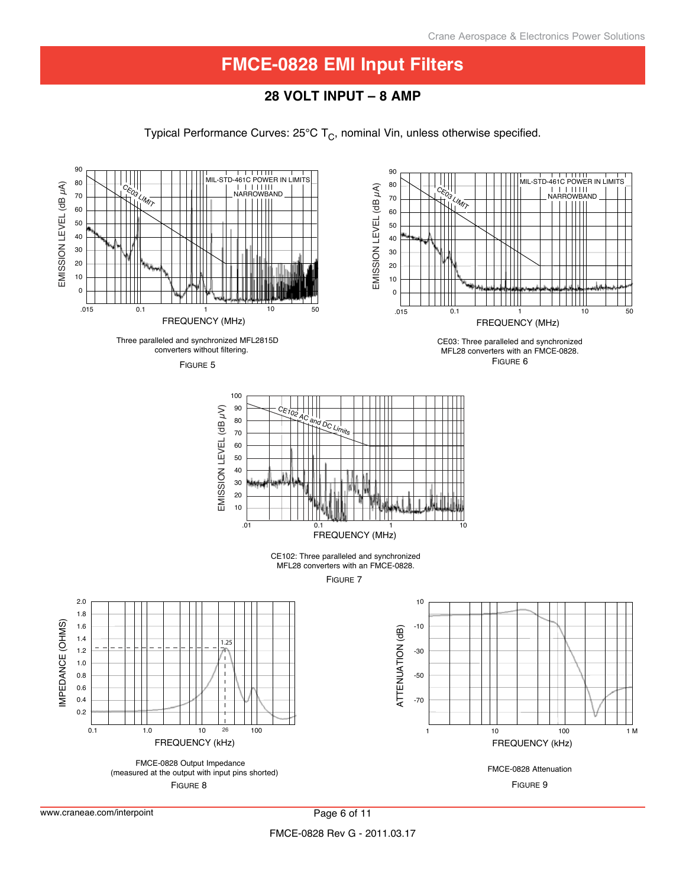# **28 Volt input – 8 Amp**

Typical Performance Curves:  $25^{\circ}$ C T<sub>C</sub>, nominal Vin, unless otherwise specified.

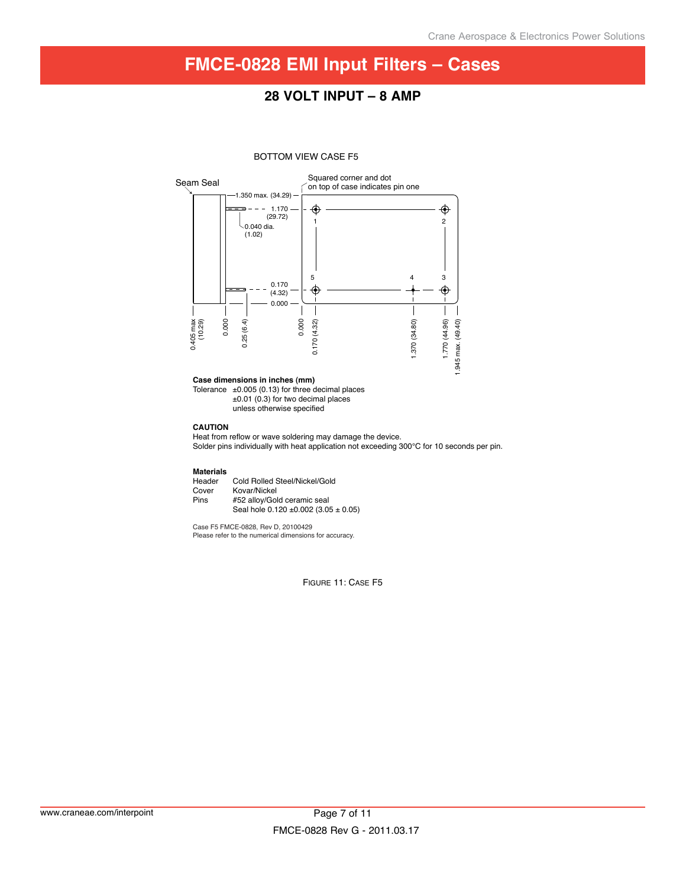# **FMCE-0828 EMI Input Filters – Cases**

## **28 Volt input – 8 Amp**

#### BOTTOM VIEW CASE F5



#### **Case dimensions in inches (mm)**

Tolerance  $\pm 0.005$  (0.13) for three decimal places ±0.01 (0.3) for two decimal places unless otherwise specified

#### **CAUTION**

Heat from reflow or wave soldering may damage the device. Solder pins individually with heat application not exceeding 300°C for 10 seconds per pin.

**Materials** Header Cold Rolled Steel/Nickel/Gold<br>Cover Kovar/Nickel Cover Kovar/Nickel<br>Pins #52 alloy/Gol #52 alloy/Gold ceramic seal Seal hole 0.120 ±0.002 (3.05 ± 0.05)

Case F5 FMCE-0828, Rev D, 20100429 Please refer to the numerical dimensions for accuracy.

FIGURE 11: CASE F5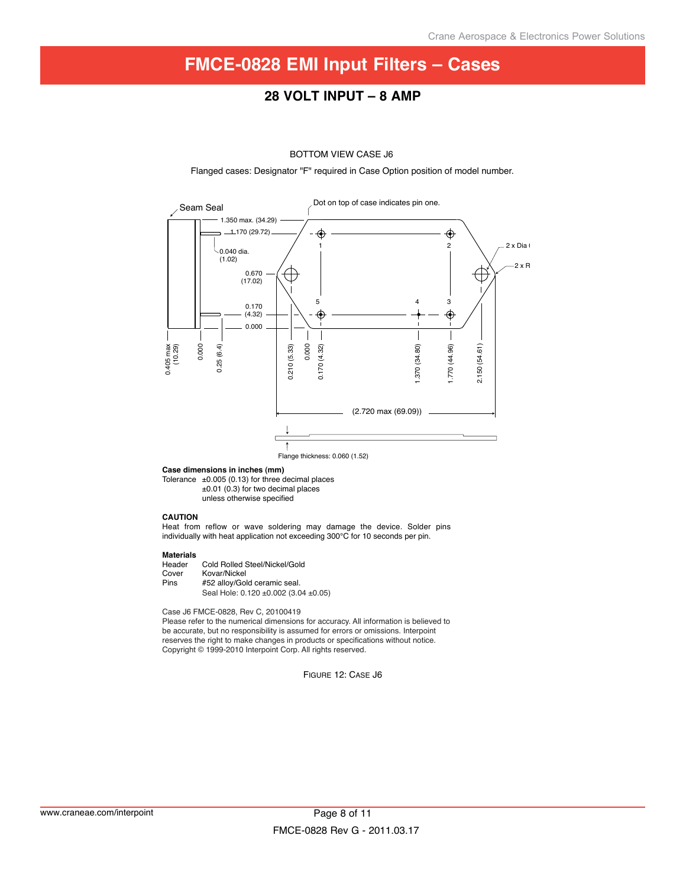# **FMCE-0828 EMI Input Filters – Cases**

## **28 Volt input – 8 Amp**

#### BOTTOM VIEW CASE J6

Flanged cases: Designator "F" required in Case Option position of model number.



Flange thickness: 0.060 (1.52)

#### **Case dimensions in inches (mm)**

Tolerance ±0.005 (0.13) for three decimal places ±0.01 (0.3) for two decimal places unless otherwise specified

#### **CAUTION**

Heat from reflow or wave soldering may damage the device. Solder pins individually with heat application not exceeding 300°C for 10 seconds per pin.

# **Materials**

Header Cold Rolled Steel/Nickel/Gold<br>Cover Kovar/Nickel Cover Kovar/Nickel<br>Pins #52 allov/Gol #52 alloy/Gold ceramic seal. Seal Hole: 0.120 ±0.002 (3.04 ±0.05)

Case J6 FMCE-0828, Rev C, 20100419

Please refer to the numerical dimensions for accuracy. All information is believed to be accurate, but no responsibility is assumed for errors or omissions. Interpoint reserves the right to make changes in products or specifications without notice. Copyright © 1999-2010 Interpoint Corp. All rights reserved.

Figure 12: Case J6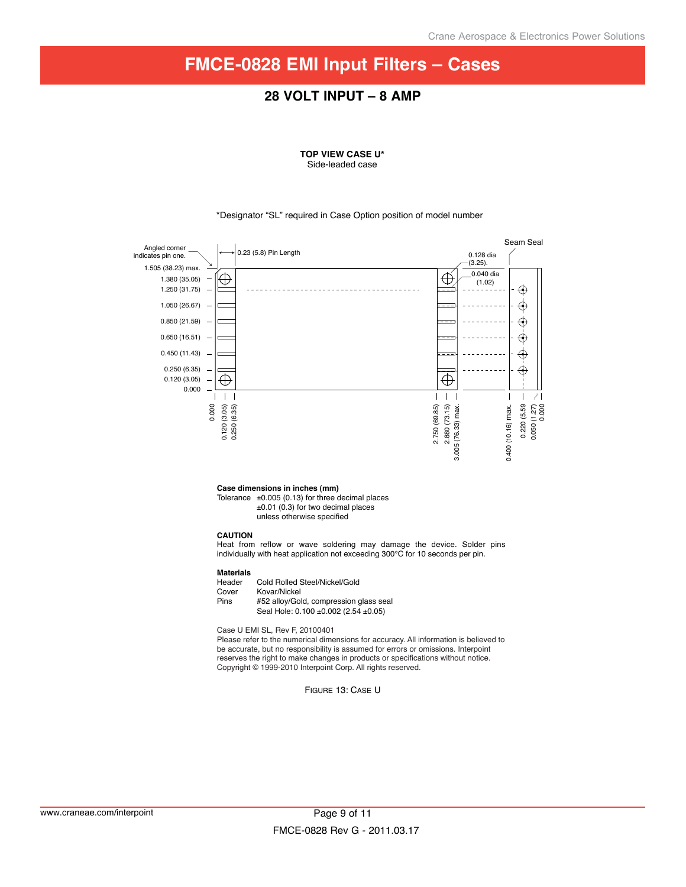# **FMCE-0828 EMI Input Filters – Cases**

## **28 Volt input – 8 Amp**

#### **TOP VIEW CASE U\*** Side-leaded case

#### \*Designator "SL" required in Case Option position of model number



**Case dimensions in inches (mm)**

Tolerance  $\pm 0.005$  (0.13) for three decimal places ±0.01 (0.3) for two decimal places unless otherwise specified

#### **CAUTION**

Heat from reflow or wave soldering may damage the device. Solder pins individually with heat application not exceeding 300°C for 10 seconds per pin.

# **Materials**

Header Cold Rolled Steel/Nickel/Gold<br>Cover Kovar/Nickel Cover Kovar/Nickel<br>Pins #52 allov/Gol #52 alloy/Gold, compression glass seal Seal Hole: 0.100 ±0.002 (2.54 ±0.05)

Case U EMI SL, Rev F, 20100401

Please refer to the numerical dimensions for accuracy. All information is believed to be accurate, but no responsibility is assumed for errors or omissions. Interpoint reserves the right to make changes in products or specifications without notice. Copyright © 1999-2010 Interpoint Corp. All rights reserved.

Figure 13: Case U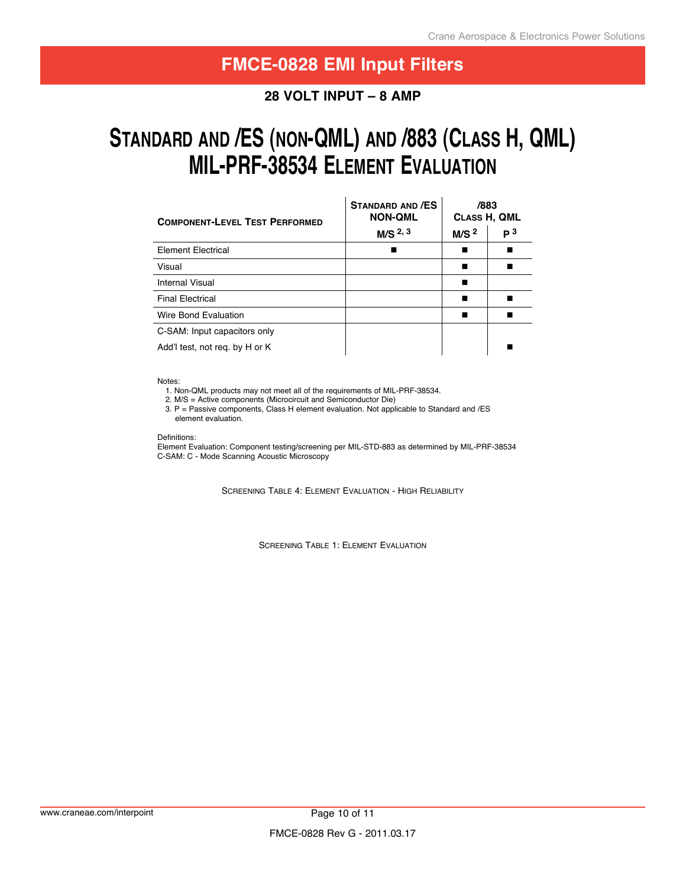## **28 Volt input – 8 Amp**

# **stanDarD anD /es (non-Qml) anD /883 (Class h, Qml) mil-PrF-38534 element eValuation**

| <b>COMPONENT-LEVEL TEST PERFORMED</b> | <b>STANDARD AND /ES</b><br><b>NON-QML</b> | /883<br>CLASS H, QML |                |  |
|---------------------------------------|-------------------------------------------|----------------------|----------------|--|
|                                       | M/S <sup>2, 3</sup>                       | M/S <sup>2</sup>     | P <sup>3</sup> |  |
| <b>Element Electrical</b>             |                                           |                      |                |  |
| Visual                                |                                           |                      |                |  |
| Internal Visual                       |                                           |                      |                |  |
| <b>Final Electrical</b>               |                                           |                      |                |  |
| Wire Bond Evaluation                  |                                           |                      |                |  |
| C-SAM: Input capacitors only          |                                           |                      |                |  |
| Add't test, not reg. by H or K        |                                           |                      |                |  |

Notes:

1. Non-QML products may not meet all of the requirements of MIL-PRF-38534.

2. M/S = Active components (Microcircuit and Semiconductor Die)

 3. P = Passive components, Class H element evaluation. Not applicable to Standard and /ES element evaluation.

Definitions:

Element Evaluation: Component testing/screening per MIL-STD-883 as determined by MIL-PRF-38534 C-SAM: C - Mode Scanning Acoustic Microscopy

SCREENING TABLE 4: ELEMENT EVALUATION - HIGH RELIABILITY

Screening Table 1: Element Evaluation